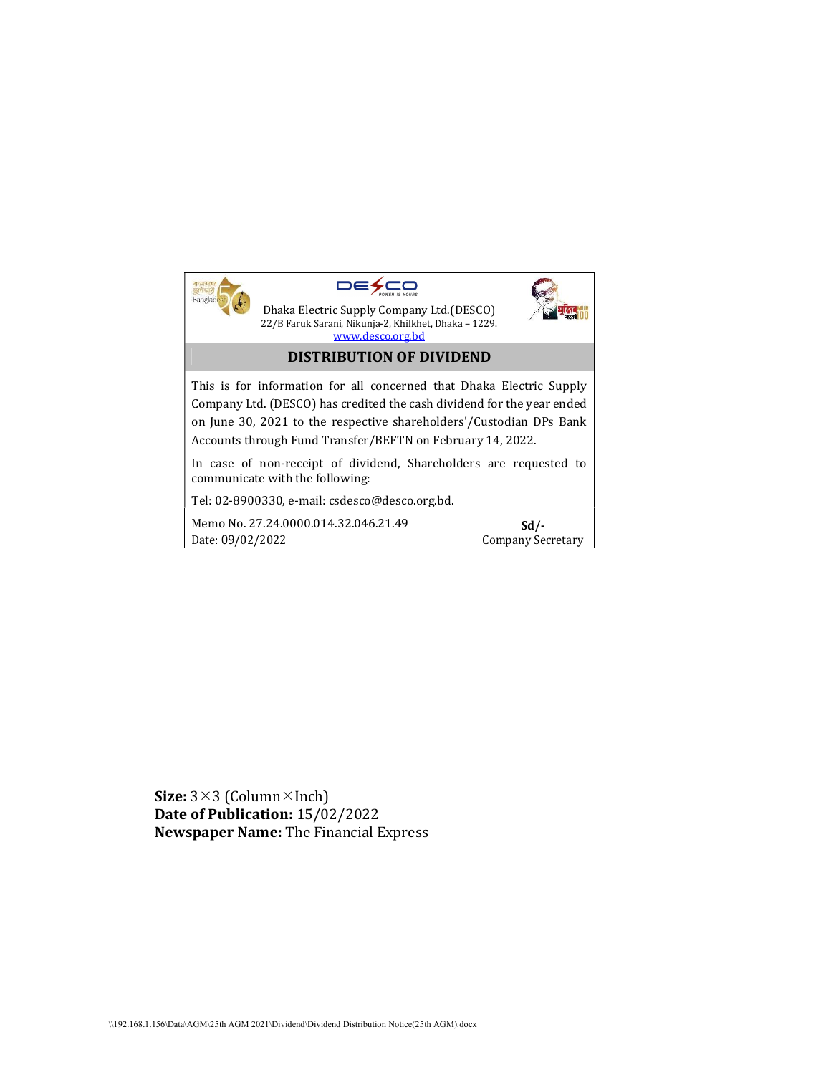|                                                                                                                                                                                                             | Dhaka Electric Supply Company Ltd. (DESCO)<br>22/B Faruk Sarani, Nikunja-2, Khilkhet, Dhaka - 1229.<br>www.desco.org.bd<br><b>DISTRIBUTION OF DIVIDEND</b> |                           |
|-------------------------------------------------------------------------------------------------------------------------------------------------------------------------------------------------------------|------------------------------------------------------------------------------------------------------------------------------------------------------------|---------------------------|
| This is for information for all concerned that Dhaka Electric Supply                                                                                                                                        |                                                                                                                                                            |                           |
| Company Ltd. (DESCO) has credited the cash dividend for the year ended<br>on June 30, 2021 to the respective shareholders'/Custodian DPs Bank<br>Accounts through Fund Transfer/BEFTN on February 14, 2022. |                                                                                                                                                            |                           |
| In case of non-receipt of dividend, Shareholders are requested to<br>communicate with the following:                                                                                                        |                                                                                                                                                            |                           |
| Tel: 02-8900330, e-mail: csdesco@desco.org.bd.                                                                                                                                                              |                                                                                                                                                            |                           |
| Date: 09/02/2022                                                                                                                                                                                            | Memo No. 27.24.0000.014.32.046.21.49                                                                                                                       | Sd/-<br>Company Secretary |

Size:  $3\times3$  (Column $\times$ Inch) Date of Publication: 15/02/2022 Newspaper Name: The Financial Express